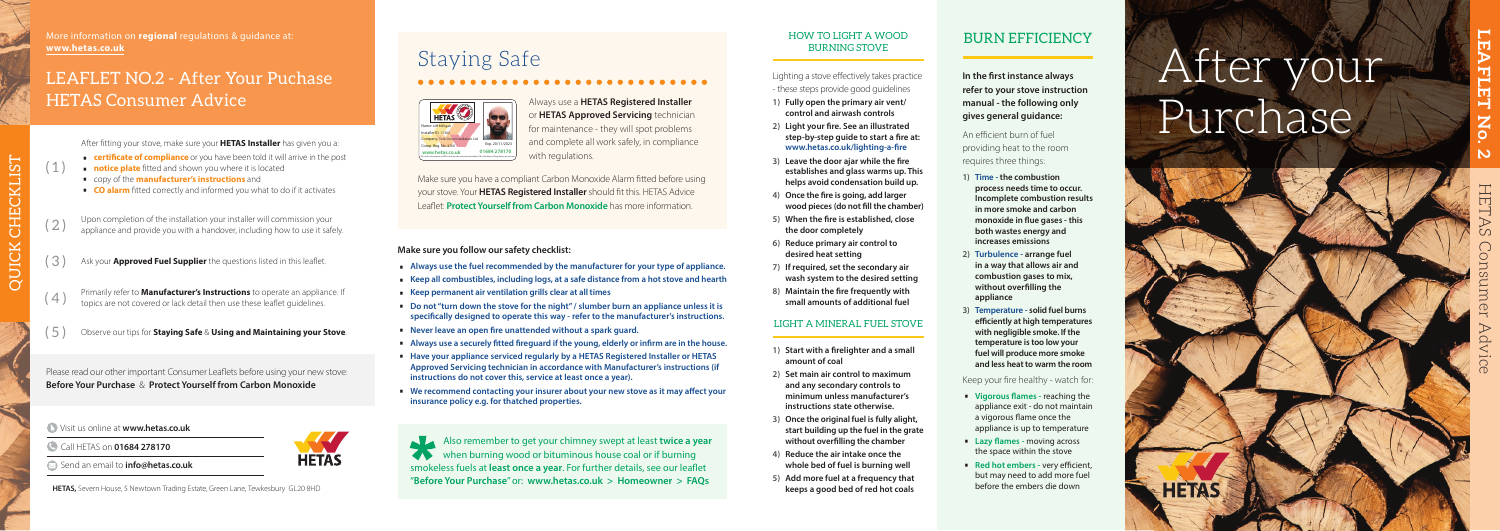# After your Purchase



Visit us online at **www.hetas.co.uk**

- Call HETAS on **01684 278170**
- Send an email to **info@hetas.co.uk**

**HETAS,** Severn House, 5 Newtown Trading Estate, Green Lane, Tewkesbury GL20 8HD **keeps a good bed of red hot coals** 

#### HOW TO LIGHT A WOOD BURNING STOVE

- **3)** Leave the door ajar while the fire **establishes and glass warms up. This helps avoid condensation build up.**
- 4) Once the fire is going, add larger wood pieces (do not fill the chamber)
- 5) When the fire is established, close **the door completely**
- **6) Reduce primary air control to desired heat setting**
- **7) If required, set the secondary air wash system to the desired setting**
- 8) Maintain the fire frequently with **small amounts of additional fuel**

Always use a **HETAS Registered Installer** or **HETAS Approved Servicing** technician for maintenance - they will spot problems and complete all work safely, in compliance with regulations.

Make sure you have a compliant Carbon Monoxide Alarm fitted before using your stove. Your **HETAS Registered Installer** should fit this. HETAS Advice Leaflet: **Protect Yourself from Carbon Monoxide** has more information.

#### LIGHT A MINERAL FUEL STOVE

- 1) Start with a firelighter and a small **amount of coal**
- **2) Set main air control to maximum and any secondary controls to minimum unless manufacturer's instructions state otherwise.**
- **3) Once the original fuel is fully alight, start building up the fuel in the grate**  without over filling the chamber
- 
- 

**HETAS** 

**In the first instance always refer to your stove instruction manual - the following only gives general guidance:**

- **4) Reduce the air intake once the whole bed of fuel is burning well**
- **5) Add more fuel at a frequency that**

An efficient burn of fuel providing heat to the room requires three things:

# Staying Safe

- Vigorous flames reaching the appliance exit - do not maintain a vigorous flame once the appliance is up to temperature
- **Lazy flames moving across** the space within the stove
- **Red hot embers** very efficient but may need to add more fuel before the embers die down



- 
- Always use the fuel recommended by the manufacturer for your type of appliance.<br>■ Keep all combustibles, including logs, at a safe distance from a hot stove and hearth<br>■ Keep permanent air ventilation grills clear at al
- 
- specifically designed to operate this way refer to the manufacturer's instructions.
- 
- Never leave an open fire unattended without a spark guard.<br>■ Always use a securely fitted fireguard if the young, elderly or infirm are in the house.<br>■ Have your appliance serviced regularly by a HETAS Registered Instal
- **Approved Servicing technician in accordance with Manufacturer's instructions (if instructions do not cover this, service at least once a year).**
- We recommend contacting your insurer about your new stove as it may affect your **insurance policy e.g. for thatched properties.**

Please read our other important Consumer Leaflets before using your new stove: **Before Your Purchase** & **Protect Yourself from Carbon Monoxide**

|                                                                            | Also remember to get your chimney swept at least twice a year |
|----------------------------------------------------------------------------|---------------------------------------------------------------|
|                                                                            | when burning wood or bituminous house coal or if burning      |
| smokeless fuels at least once a year. For further details, see our leaflet |                                                               |
| "Before Your Purchase" or: www.hetas.co.uk > Homeowner > FAQs              |                                                               |

- Lighting a stove effectively takes practice - these steps provide good guidelines
- **1) Fully open the primary air vent/ control and airwash controls**
- 2) Light your fire. See an illustrated step-by-step quide to start a fire at: www.hetas.co.uk/lighting-a-fire

## BURN EFFICIENCY

- (3) Ask your **Approved Fuel Supplier** the questions listed in this leaflet.
- (4) Primarily refer to **Manufacturer's Instructions** to operate an appliance. If the topics are not covered or lack detail then use these leaflet guidelines.
- ( 5 ) Observe our tips for **Staying Safe** & **Using and Maintaining your Stove** .
- **1) Time the combustion process needs time to occur. Incomplete combustion results in more smoke and carbon**  monoxide in flue gases - this **both wastes energy and increases emissions**
- **2) Turbulence arrange fuel in a way that allows air and combustion gases to mix,**  without overfilling the **appliance**
- **3) Temperature solid fuel burns efficiently at high temperatures with negligible smoke. If the temperature is too low your fuel will produce more smoke and less heat to warm the room**

#### Keep your fire healthy - watch for:

#### **Make sure you follow our safety checklist:**

## LEAFLET NO.2 - After Your Puchase HETAS Consumer Advice

 $(1)$ 

After fitting your stove, make sure your **HETAS Installer** has given you a:<br>
■ **certificate of compliance** or you have been told it will arrive in the post<br>
■ **notice plate** fitted and shown you where it is located<br>
■ cop

- 
- 
- 
- 

 $(2)$  Upon completion of the installation your installer will commission your appliance and provide you with a handover, including how to use it safely.

More information on **regional** regulations & guidance at: **www.hetas.co.uk**